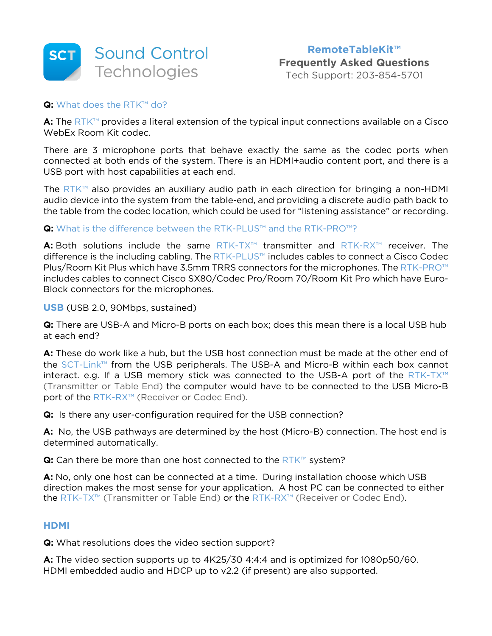

Tech Support: 203-854-5701

# **Q:** What does the RTK™ do?

**A:** The RTK™ provides a literal extension of the typical input connections available on a Cisco WebEx Room Kit codec.

There are 3 microphone ports that behave exactly the same as the codec ports when connected at both ends of the system. There is an HDMI+audio content port, and there is a USB port with host capabilities at each end.

The RTK™ also provides an auxiliary audio path in each direction for bringing a non-HDMI audio device into the system from the table-end, and providing a discrete audio path back to the table from the codec location, which could be used for "listening assistance" or recording.

# **Q:** What is the difference between the RTK-PLUS™ and the RTK-PRO™?

**A:** Both solutions include the same RTK-TX™ transmitter and RTK-RX™ receiver. The difference is the including cabling. The RTK-PLUS™ includes cables to connect a Cisco Codec Plus/Room Kit Plus which have 3.5mm TRRS connectors for the microphones. The RTK-PRO™ includes cables to connect Cisco SX80/Codec Pro/Room 70/Room Kit Pro which have Euro-Block connectors for the microphones.

### **USB** (USB 2.0, 90Mbps, sustained)

**Q:** There are USB-A and Micro-B ports on each box; does this mean there is a local USB hub at each end?

**A:** These do work like a hub, but the USB host connection must be made at the other end of the SCT-Link™ from the USB peripherals. The USB-A and Micro-B within each box cannot interact. e.g. If a USB memory stick was connected to the USB-A port of the RTK-TX™ (Transmitter or Table End) the computer would have to be connected to the USB Micro-B port of the RTK-RX™ (Receiver or Codec End).

**Q:** Is there any user-configuration required for the USB connection?

**A:** No, the USB pathways are determined by the host (Micro-B) connection. The host end is determined automatically.

**Q:** Can there be more than one host connected to the RTK™ system?

**A:** No, only one host can be connected at a time. During installation choose which USB direction makes the most sense for your application. A host PC can be connected to either the RTK-TX™ (Transmitter or Table End) or the RTK-RX™ (Receiver or Codec End).

### **HDMI**

**Q:** What resolutions does the video section support?

**A:** The video section supports up to 4K25/30 4:4:4 and is optimized for 1080p50/60. HDMI embedded audio and HDCP up to v2.2 (if present) are also supported.